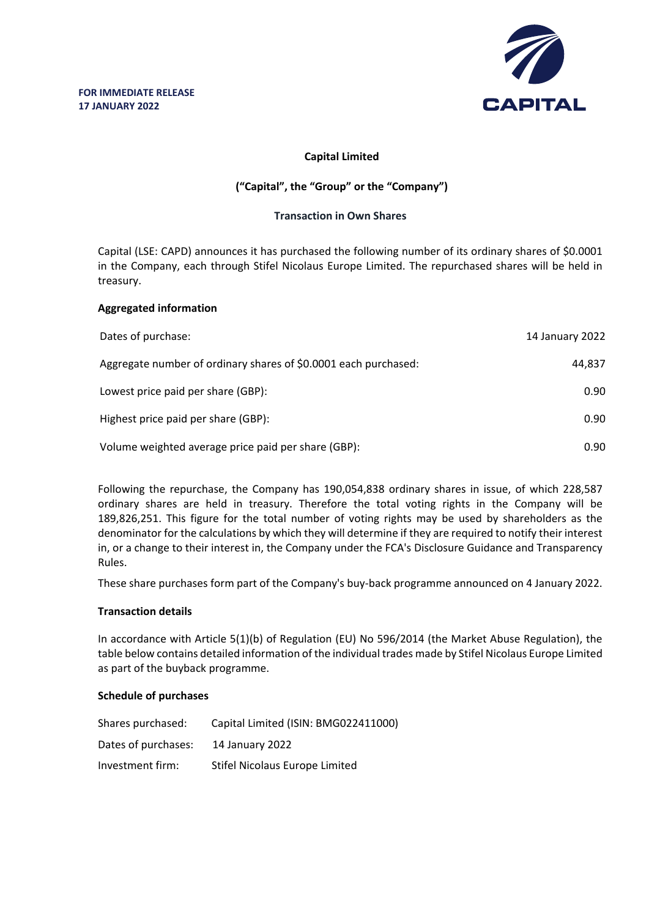

## **Capital Limited**

# **("Capital", the "Group" or the "Company")**

### **Transaction in Own Shares**

Capital (LSE: CAPD) announces it has purchased the following number of its ordinary shares of \$0.0001 in the Company, each through Stifel Nicolaus Europe Limited. The repurchased shares will be held in treasury.

### **Aggregated information**

| Dates of purchase:                                              | 14 January 2022 |
|-----------------------------------------------------------------|-----------------|
| Aggregate number of ordinary shares of \$0.0001 each purchased: | 44.837          |
| Lowest price paid per share (GBP):                              | 0.90            |
| Highest price paid per share (GBP):                             | 0.90            |
| Volume weighted average price paid per share (GBP):             | 0.90            |

Following the repurchase, the Company has 190,054,838 ordinary shares in issue, of which 228,587 ordinary shares are held in treasury. Therefore the total voting rights in the Company will be 189,826,251. This figure for the total number of voting rights may be used by shareholders as the denominator for the calculations by which they will determine if they are required to notify their interest in, or a change to their interest in, the Company under the FCA's Disclosure Guidance and Transparency Rules.

These share purchases form part of the Company's buy-back programme announced on 4 January 2022.

#### **Transaction details**

In accordance with Article 5(1)(b) of Regulation (EU) No 596/2014 (the Market Abuse Regulation), the table below contains detailed information of the individual trades made by Stifel Nicolaus Europe Limited as part of the buyback programme.

#### **Schedule of purchases**

| Shares purchased:   | Capital Limited (ISIN: BMG022411000) |
|---------------------|--------------------------------------|
| Dates of purchases: | 14 January 2022                      |
| Investment firm:    | Stifel Nicolaus Europe Limited       |